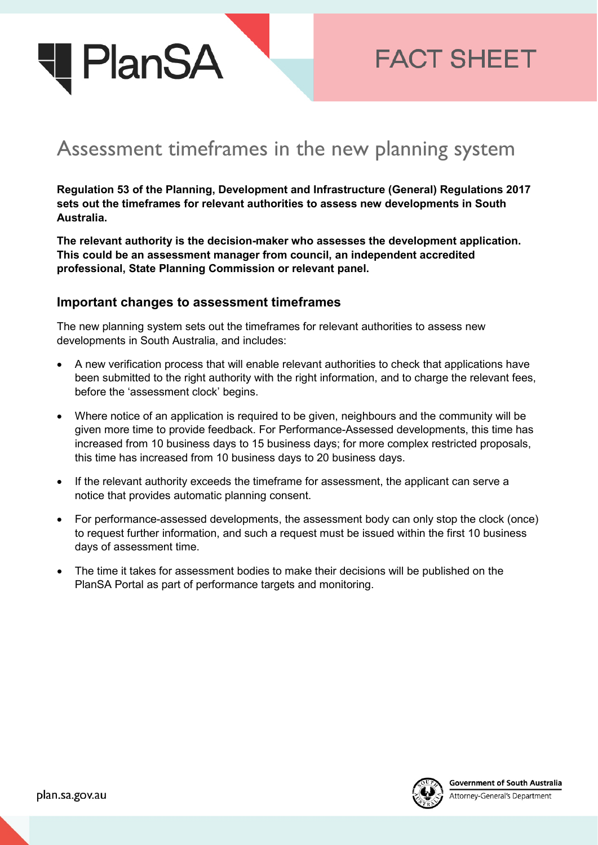

## **FACT SHEET**

## Assessment timeframes in the new planning system

**Regulation 53 of the Planning, Development and Infrastructure (General) Regulations 2017 sets out the timeframes for relevant authorities to assess new developments in South Australia.** 

**The relevant authority is the decision-maker who assesses the development application. This could be an assessment manager from council, an independent accredited professional, State Planning Commission or relevant panel.**

## **Important changes to assessment timeframes**

The new planning system sets out the timeframes for relevant authorities to assess new developments in South Australia, and includes:

- A new verification process that will enable relevant authorities to check that applications have been submitted to the right authority with the right information, and to charge the relevant fees, before the 'assessment clock' begins.
- Where notice of an application is required to be given, neighbours and the community will be given more time to provide feedback. For Performance-Assessed developments, this time has increased from 10 business days to 15 business days; for more complex restricted proposals, this time has increased from 10 business days to 20 business days.
- If the relevant authority exceeds the timeframe for assessment, the applicant can serve a notice that provides automatic planning consent.
- For performance-assessed developments, the assessment body can only stop the clock (once) to request further information, and such a request must be issued within the first 10 business days of assessment time.
- The time it takes for assessment bodies to make their decisions will be published on the PlanSA Portal as part of performance targets and monitoring.



Attorney-General's Department